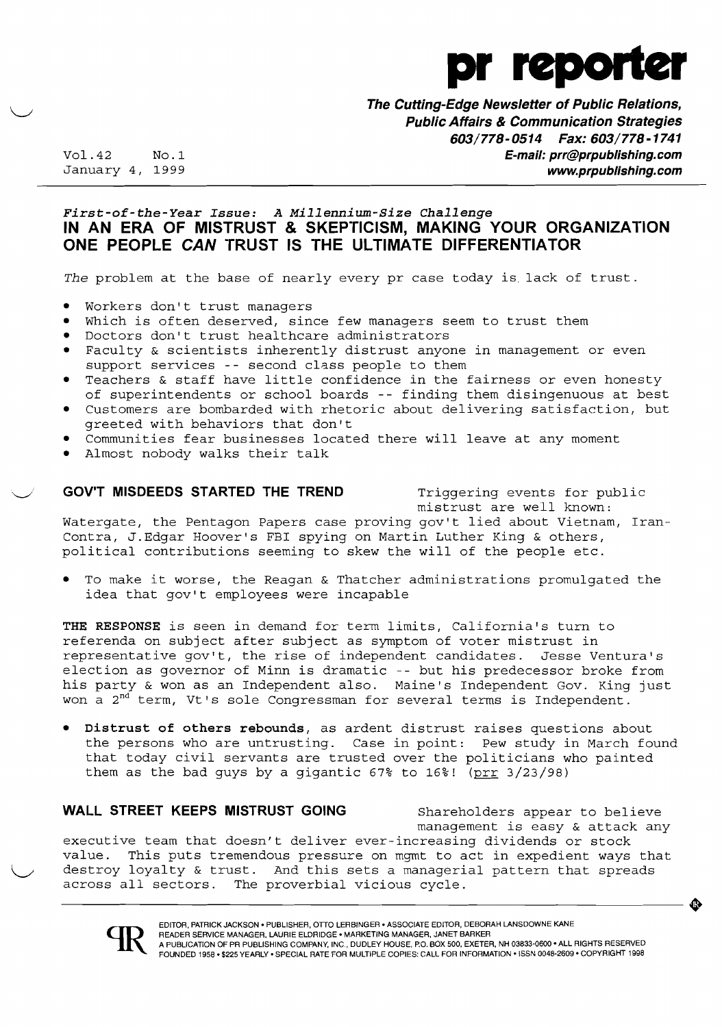

**The Cutting-Edge Newsletter of Public Relations, Public Affairs & Communication Strategies**  *603/778-0514 Fax: 603/778-1741*  Vol.42 No.1 **E-mail: prr@prpublishing.com**  www.prpublishing.com

## *First-of-the-Year Issue: A Millennium-Size Challenge*  **IN AN ERA OF MISTRUST & SKEPTICISM, MAKING YOUR ORGANIZATION ONE PEOPLE CAN TRUST IS THE ULTIMATE DIFFERENTIATOR**

*The* problem at the base of nearly every pr case today is lack of trust.

- Workers don't trust managers
- Which is often deserved, since few managers seem to trust them
- Doctors don't trust healthcare administrators
- Faculty & scientists inherently distrust anyone in management or even support services -- second class people to them
- Teachers  $\&$  staff have little confidence in the fairness or even honesty of superintendents or school boards -- finding them disingenuous at best
- Customers are bombarded with rhetoric about delivering satisfaction, but greeted with behaviors that don't
- Communities fear businesses located there will leave at any moment
- Almost nobody walks their talk

### **GOV'T MISDEEDS STARTED THE TREND** Triggering events for public

mistrust are well known:

..

Watergate, the Pentagon Papers case proving gov't lied about Vietnam, Iran-Contra, J.Edgar Hoover's FBI spying on Martin Luther King & others, political contributions seeming to skew the will of the people etc.

To make it worse, the Reagan & Thatcher administrations promulgated the idea that gov't employees were incapable

**THE RESPONSE** is seen in demand for term limits, California's turn to referenda on subject after subject as symptom of voter mistrust in representative gov't, the rise of independent candidates. Jesse Ventura's election as governor of Minn is dramatic -- but his predecessor broke from his party & won as an Independent also. Maine's Independent Gov. King just won a 2<sup>nd</sup> term, Vt's sole Congressman for several terms is Independent.

Distrust of others rebounds, as ardent distrust raises questions about the persons who are untrusting. Case in point: Pew study in March found that today civil servants are trusted over the politicians who painted them as the bad guys by a gigantic  $67\%$  to  $16\%$ ! (prr  $3/23/98$ )

### **WALL STREET KEEPS MISTRUST GOING** Shareholders appear to believe

across all sectors. The proverbial vicious cycle. management is easy & attack any executive team that doesn't deliver ever-increasing dividends or stock value. This puts tremendous pressure on mgmt to act in expedient ways that destroy loyalty & trust. And this sets a managerial pattern that spreads<br>across all sectors. The proverbial vicious cycle.

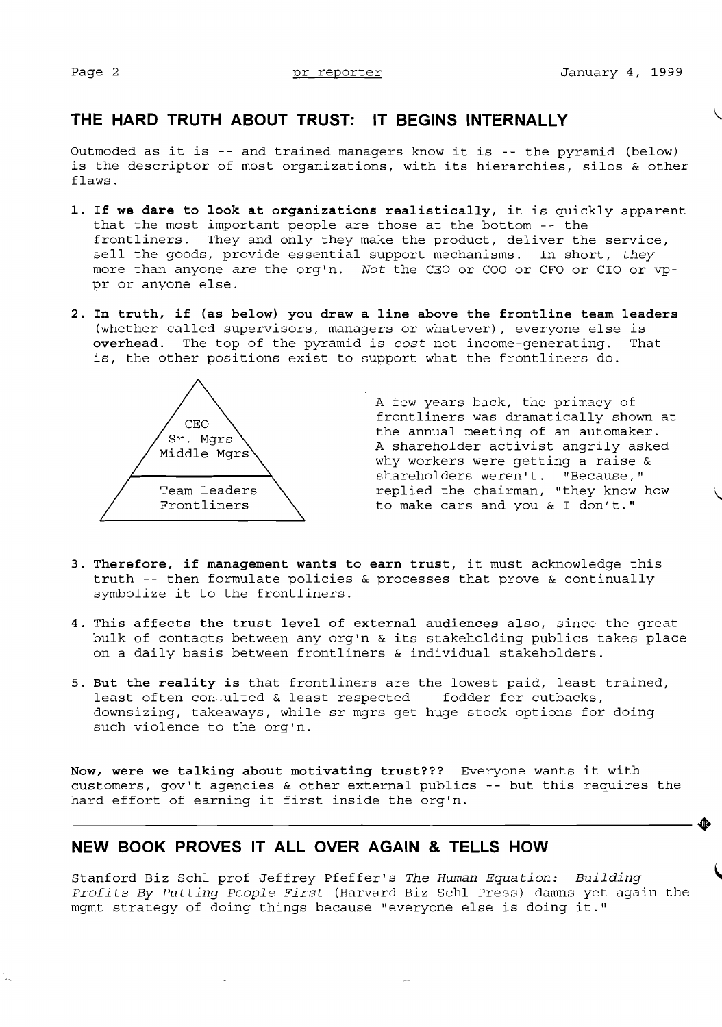# **THE HARD TRUTH ABOUT TRUST: IT BEGINS INTERNALLY**

Outmoded as it is -- and trained managers know it is -- the pyramid (below) is the descriptor of most organizations, with its hierarchies, silos & other flaws.

- 1. If we dare to look at organizations realistically, it is quickly apparent that the most important people are those at the bottom -- the frontliners. They and only they make the product, deliver the service, sell the goods, provide essential support mechanisms. In short, *they*  more than anyone *are* the org'n. *Not* the CEO or COO or CFO or CIO or vppr or anyone else.
- **2. In truth, if (as below) you draw a line above the frontline team leaders**  (whether called supervisors, managers or whatever), everyone else is **overhead.** The top of the pyramid is *cost* not income-generating. That is, the other positions exist to support what the frontliners do.



A few years back, the primacy of frontliners was dramatically shown at the annual meeting of an automaker. A shareholder activist angrily asked why workers were getting a raise & shareholders weren't. "Because," replied the chairman, "they know how to make cars and you & I don't."

- **3. Therefore, if management wants to earn trust,** it must acknowledge this truth -- then formulate policies & processes that prove & continually symbolize it to the frontliners.
- **4. This affects the trust level of external audiences also,** since the great bulk of contacts between any org'n & its stakeholding publics takes place on a daily basis between frontliners & individual stakeholders.
- **5. But the reality is** that frontliners are the lowest paid, least trained, least often con ulted & least respected -- fodder for cutbacks, downsizing, takeaways, while sr mgrs get huge stock options for doing such violence to the org'n.

**Now, were we talking about motivating trust???** Everyone wants it with customers, gov't agencies & other external publics -- but this requires the hard effort of earning it first inside the org'n.

# **NEW BOOK PROVES IT ALL OVER AGAIN & TELLS HOW**

Stanford Biz Schl prof Jeffrey Pfeffer's *The Human Equation: Building Profits By Putting people First* (Harvard Biz Schl Press) damns yet again the mgmt strategy of doing things because "everyone else is doing it."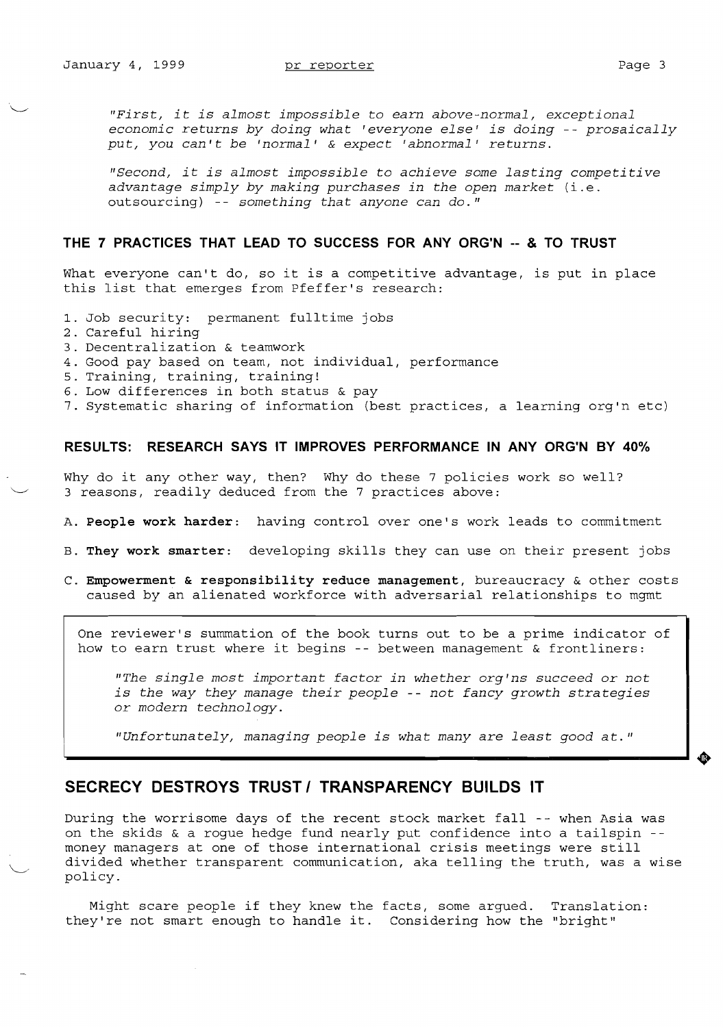.~.

*"First, it is almost impossible* to *earn above-normal, exceptional economic returns by doing what 'everyone else' is doing* -- *prosaically put, you can't be 'normal'* & *expect 'abnormal' returns.* 

*"Second, it is almost impossible* to *achieve some lasting competitive advantage simply by making purchases in the open market* (i.e. outsourcing) -- *something that anyone can do."* 

### **THE 7 PRACTICES THAT LEAD TO SUCCESS FOR ANY ORG'N -- & TO TRUST**

What everyone can't do, so it is a competitive advantage, is put in place this list that emerges from Pfeffer's research:

- 1. Job security: permanent fulltime jobs
- 2. Careful hiring
- 3. Decentralization & teamwork
- 4. Good pay based on team, not individual, performance
- 5. Training, training, training!
- 6. Low differences in both status & pay
- 7. Systematic sharing of information (best practices, a learning org'n etc)

## **RESULTS: RESEARCH SAYS IT IMPROVES PERFORMANCE IN ANY ORG'N BY 40%**

Why do it any other way, then? Why do these 7 policies work so well? 3 reasons, readily deduced from the 7 practices above:

- A. **People work harder:** having control over one's work leads to commitment
- B. **They work smarter:** developing skills they can use on their present jobs
- C. **Empowerment & responsibility reduce management,** bureaucracy & other costs caused by an alienated workforce with adversarial relationships to mgmt

One reviewer's summation of the book turns out to be a prime indicator of how to earn trust where it begins -- between management & frontliners:

*"The single most important factor in whether org'ns succeed* or *not is the way they manage their people* -- *not fancy growth strategies*  or *modern technology.* 

"*Unfortunately, managing people is what many are least good at."* 

## **SECRECY DESTROYS TRUST I TRANSPARENCY BUILDS IT**

During the worrisome days of the recent stock market fall -- when Asia was on the skids  $\&$  a rogue hedge fund nearly put confidence into a tailspin -money managers at one of those international crisis meetings were still divided whether transparent communication, aka telling the truth, was a wise policy.

Might scare people if they knew the facts, some argued. Translation: they're not smart enough to handle it. Considering how the "bright"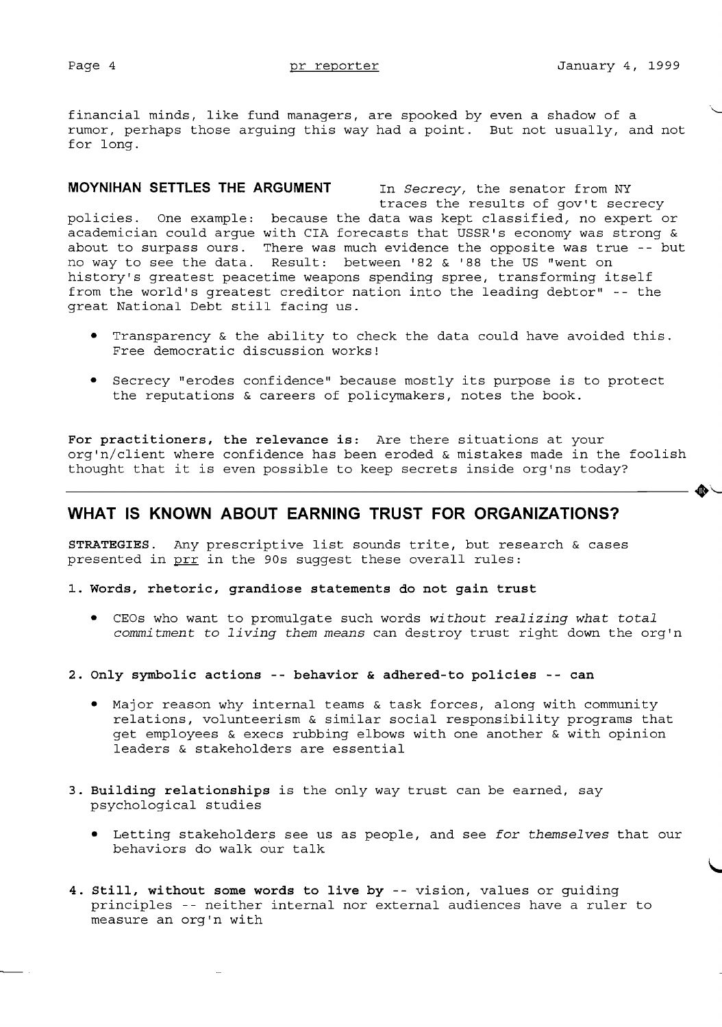financial minds, like fund managers, are spooked by even a shadow of a rumor, perhaps those arguing this way had a point. But not usually, and not for long.

**MOYNIHAN SETTLES THE ARGUMENT** In *Secrecy,* the senator from NY traces the results of gov't secrecy policies. One example: because the data was kept classified, no expert or academician could argue with CIA forecasts that USSR's economy was strong & about to surpass ours. There was much evidence the opposite was true -- but no way to see the data. Result: between '82 & '88 the US "went on history's greatest peacetime weapons spending spree, transforming itself from the world's greatest creditor nation into the leading debtor" -- the great National Debt still facing us.

- • Transparency & the ability to check the data could have avoided this. Free democratic discussion works!
- Secrecy "erodes confidence" because mostly its purpose is to protect the reputations & careers of policymakers, notes the book.

thought that it is even possible to keep secrets inside org'ns today? **For practitioners, the relevance is:** Are there situations at your org'n/client where confidence has been eroded & mistakes made in the foolish

## **WHAT IS KNOWN ABOUT EARNING TRUST FOR ORGANIZATIONS?**

**STRATEGIES.** Any prescriptive list sounds trite, but research & cases presented in prr in the 90s suggest these overall rules:

**1. Words, rhetoric, grandiose statements do not gain trust** 

- • CEOs who want to promulgate such words *without realizing what total commitment* to *living them means* can destroy trust right down the org'n
- **2. Only symbolic actions -- behavior & adhered-to policies -- can** 
	- Major reason why internal teams  $\&$  task forces, along with community relations, volunteerism & similar social responsibility programs that get employees & execs rubbing elbows with one another & with opinion leaders & stakeholders are essential
- **3. Building relationships** is the only way trust can be earned, say psychological studies
	- • Letting stakeholders see us as people, and see *for themselves* that our behaviors do walk our talk
- **4. Still, without some words to live by** -- vision, values or guiding principles -- neither internal nor external audiences have a ruler to measure an org'n with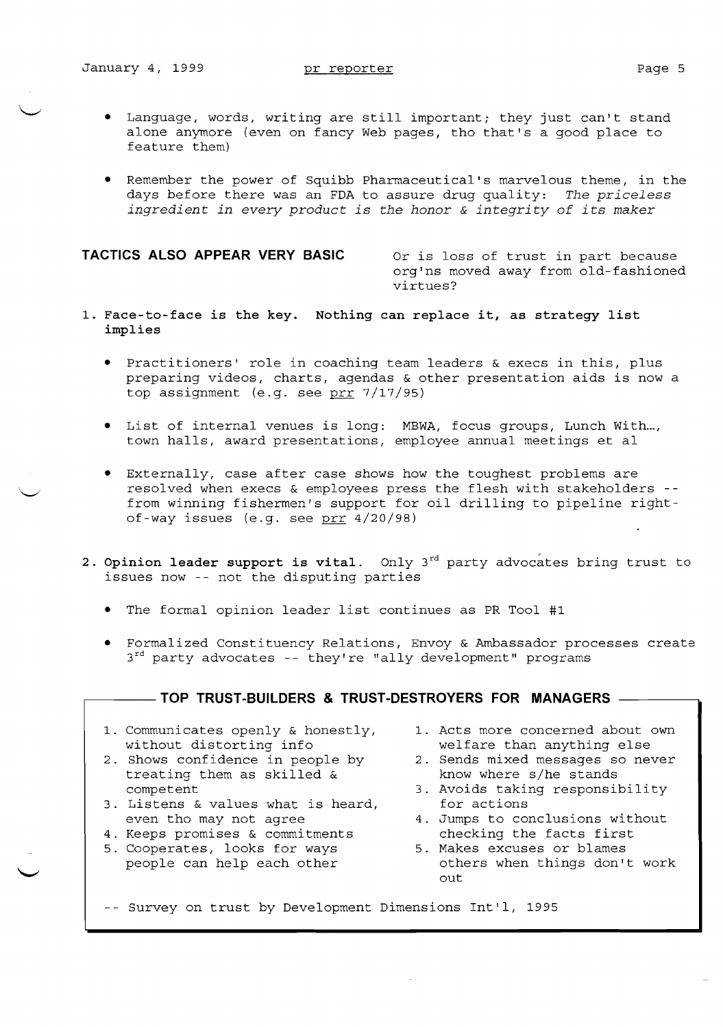- • Language, words, writing are still important; they just can't stand alone anymore (even on fancy Web pages, tho that's a good place to feature them)
- • Remember the power of Squibb Pharmaceutical's marvelous theme, in the days before there was an FDA to assure drug quality: *The priceless ingredient in every product is the honor* & *integrity of its maker*

### **TACTICS ALSO APPEAR VERY BASIC** Or is loss of trust in part because

org'ns moved away from old-fashioned virtues?

- 1. Face-to-face is the key. Nothing can replace it, as strategy list implies
	- Practitioners' role in coaching team leaders & execs in this, plus preparing videos, charts, agendas & other presentation aids is now a top assignment (e.g. see prr 7/17/95)
	- • List of internal venues is long: MBWA, focus groups, Lunch With..., town halls, award presentations, employee annual meetings et al
	- • Externally, case after case shows how the toughest problems are resolved when execs & employees press the flesh with stakeholders from winning fishermen's support for oil drilling to pipeline rightof-way issues (e.g. see prr 4/20/98)
- 2. Opinion leader support is vital. Only  $3^{rd}$  party advocates bring trust to issues now -- not the disputing parties
	- The formal opinion leader list continues as PR Tool #1
	- Formalized Constituency Relations, Envoy & Ambassador processes create  $3<sup>rd</sup>$  party advocates -- they're "ally development" programs

## $-$  TOP TRUST-BUILDERS & TRUST-DESTROYERS FOR MANAGERS  $-$

- 1. Communicates openly & honestly, 1. Acts more concerned about own
- 2. Shows confidence in people by  $2.$  Sends mixed messages so treating them as skilled &  $k$  know where s/he stands treating them as skilled  $\&$ competent 3. Avoids taking responsibility
- 3. Listens & values what is heard, for actions<br>even tho may not agree 4. Jumps to com
- 4. Keeps promises & commitments and the checking the facts first<br>5. Cooperates, looks for ways 5. Makes excuses or blames
- 5. Cooperates, looks for ways<br>people can help each other
- without distorting info<br>
Shows confidence in people by  $\qquad \qquad$  2. Sends mixed messages so never
	-
	-
	- 4. Jumps to conclusions without<br>checking the facts first
	- others when things don't work out

-- Survey on trust by Development Dimensions Int'l, 1995